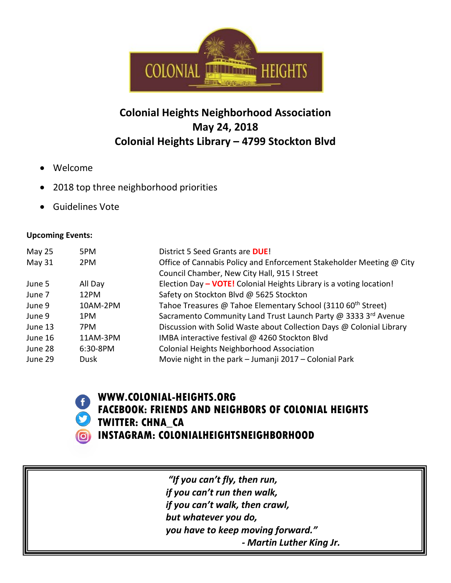

## **Colonial Heights Neighborhood Association May 24, 2018 Colonial Heights Library – 4799 Stockton Blvd**

- Welcome
- 2018 top three neighborhood priorities
- Guidelines Vote

## **Upcoming Events:**

| May 25  | 5PM         | District 5 Seed Grants are <b>DUE!</b>                                   |
|---------|-------------|--------------------------------------------------------------------------|
| May 31  | 2PM         | Office of Cannabis Policy and Enforcement Stakeholder Meeting @ City     |
|         |             | Council Chamber, New City Hall, 915 I Street                             |
| June 5  | All Day     | Election Day - VOTE! Colonial Heights Library is a voting location!      |
| June 7  | 12PM        | Safety on Stockton Blvd @ 5625 Stockton                                  |
| June 9  | 10AM-2PM    | Tahoe Treasures @ Tahoe Elementary School (3110 60 <sup>th</sup> Street) |
| June 9  | 1PM         | Sacramento Community Land Trust Launch Party @ 3333 3rd Avenue           |
| June 13 | 7PM         | Discussion with Solid Waste about Collection Days @ Colonial Library     |
| June 16 | 11AM-3PM    | IMBA interactive festival @ 4260 Stockton Blvd                           |
| June 28 | $6:30-8PM$  | Colonial Heights Neighborhood Association                                |
| June 29 | <b>Dusk</b> | Movie night in the park - Jumanji 2017 - Colonial Park                   |



**WWW.COLONIAL-HEIGHTS.ORG FACEBOOK: FRIENDS AND NEIGHBORS OF COLONIAL HEIGHTS TWITTER: CHNA\_CA INSTAGRAM: COLONIALHEIGHTSNEIGHBORHOOD**

> *"If you can't fly, then run, if you can't run then walk, if you can't walk, then crawl, but whatever you do, you have to keep moving forward." - Martin Luther King Jr.*